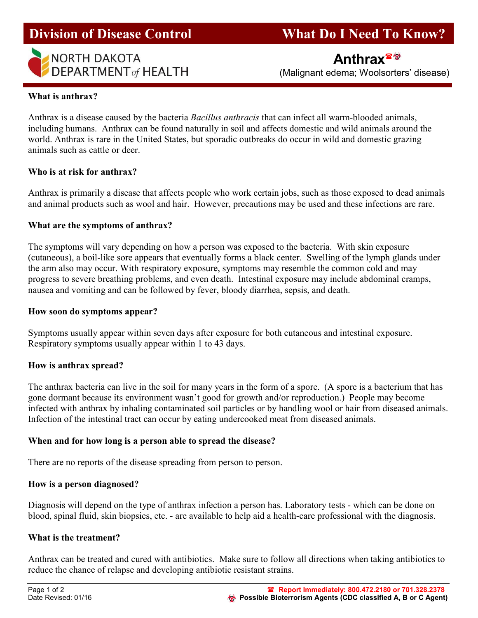

Division of Disease Control What Do I Need To Know?

(Malignant edema; Woolsorters' disease)

## What is anthrax?

Anthrax is a disease caused by the bacteria Bacillus anthracis that can infect all warm-blooded animals, including humans. Anthrax can be found naturally in soil and affects domestic and wild animals around the world. Anthrax is rare in the United States, but sporadic outbreaks do occur in wild and domestic grazing animals such as cattle or deer.

## Who is at risk for anthrax?

Anthrax is primarily a disease that affects people who work certain jobs, such as those exposed to dead animals and animal products such as wool and hair. However, precautions may be used and these infections are rare.

## What are the symptoms of anthrax?

The symptoms will vary depending on how a person was exposed to the bacteria. With skin exposure (cutaneous), a boil-like sore appears that eventually forms a black center. Swelling of the lymph glands under the arm also may occur. With respiratory exposure, symptoms may resemble the common cold and may progress to severe breathing problems, and even death. Intestinal exposure may include abdominal cramps, nausea and vomiting and can be followed by fever, bloody diarrhea, sepsis, and death.

## How soon do symptoms appear?

Symptoms usually appear within seven days after exposure for both cutaneous and intestinal exposure. Respiratory symptoms usually appear within 1 to 43 days.

## How is anthrax spread?

The anthrax bacteria can live in the soil for many years in the form of a spore. (A spore is a bacterium that has gone dormant because its environment wasn't good for growth and/or reproduction.) People may become infected with anthrax by inhaling contaminated soil particles or by handling wool or hair from diseased animals. Infection of the intestinal tract can occur by eating undercooked meat from diseased animals.

## When and for how long is a person able to spread the disease?

There are no reports of the disease spreading from person to person.

## How is a person diagnosed?

Diagnosis will depend on the type of anthrax infection a person has. Laboratory tests - which can be done on blood, spinal fluid, skin biopsies, etc. - are available to help aid a health-care professional with the diagnosis.

## What is the treatment?

Anthrax can be treated and cured with antibiotics. Make sure to follow all directions when taking antibiotics to reduce the chance of relapse and developing antibiotic resistant strains.